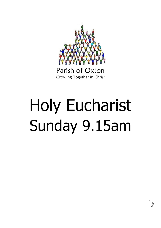

# Parish of Oxton Growing Together in Christ

# Holy Eucharist Sunday 9.15am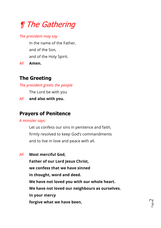# ¶ The Gathering

#### *The president may say*

In the name of the Father, and of the Son, and of the Holy Spirit.

*All* **Amen.**

# **The Greeting**

*The president greets the people*

The Lord be with you

*All* **and also with you.**

# **Prayers of Penitence**

*A minister says:*

Let us confess our sins in penitence and faith, firmly resolved to keep God's commandments and to live in love and peace with all.

*All* **Most merciful God,**

**Father of our Lord Jesus Christ, we confess that we have sinned in thought, word and deed. We have not loved you with our whole heart. We have not loved our neighbours as ourselves. In your mercy forgive what we have been,**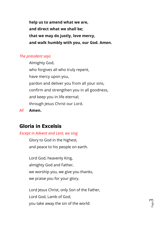**help us to amend what we are, and direct what we shall be; that we may do justly, love mercy, and walk humbly with you, our God. Amen.**

#### *The president says*

Almighty God, who forgives all who truly repent, have mercy upon you, pardon and deliver you from all your sins, confirm and strengthen you in all goodness, and keep you in life eternal; through Jesus Christ our Lord.

*All* **Amen.**

## **Gloria in Excelsis**

#### *Except in Advent and Lent, we sing*

Glory to God in the highest, and peace to his people on earth.

Lord God, heavenly King, almighty God and Father, we worship you, we give you thanks, we praise you for your glory.

Lord Jesus Christ, only Son of the Father, Lord God, Lamb of God, you take away the sin of the world: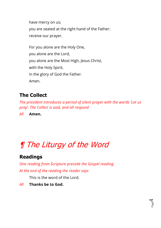have mercy on us; you are seated at the right hand of the Father: receive our prayer.

For you alone are the Holy One, you alone are the Lord, you alone are the Most High, Jesus Christ, with the Holy Spirit, in the glory of God the Father. Amen.

## **The Collect**

*The president introduces a period of silent prayer with the words 'Let us pray'. The Collect is said, and all respond*

*All* **Amen.**

# ¶ The Liturgy of the Word

# **Readings**

*One reading from Scripture precede the Gospel reading. At the end of the reading the reader says*

This is the word of the Lord.

*All* **Thanks be to God.**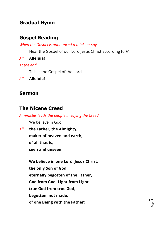## **Gradual Hymn**

## **Gospel Reading**

*When the Gospel is announced a minister says*

Hear the Gospel of our Lord Jesus Christ according to *N*.

*All* **Alleluia!**

#### *At the end*

This is the Gospel of the Lord.

*All* **Alleluia!**

## **Sermon**

# **The Nicene Creed**

*A minister leads the people in saying the Creed*

We believe in God,

*All* **the Father, the Almighty, maker of heaven and earth, of all that is, seen and unseen.**

> **We believe in one Lord, Jesus Christ, the only Son of God, eternally begotten of the Father, God from God, Light from Light, true God from true God, begotten, not made, of one Being with the Father;**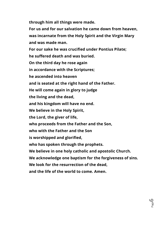**through him all things were made.**

**For us and for our salvation he came down from heaven, was incarnate from the Holy Spirit and the Virgin Mary and was made man.**

**For our sake he was crucified under Pontius Pilate; he suffered death and was buried. On the third day he rose again in accordance with the Scriptures; he ascended into heaven and is seated at the right hand of the Father. He will come again in glory to judge the living and the dead, and his kingdom will have no end. We believe in the Holy Spirit, the Lord, the giver of life, who proceeds from the Father and the Son, who with the Father and the Son is worshipped and glorified, who has spoken through the prophets. We believe in one holy catholic and apostolic Church. We acknowledge one baptism for the forgiveness of sins. We look for the resurrection of the dead, and the life of the world to come. Amen.**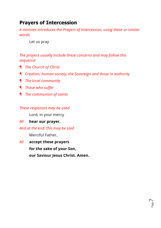## **Prayers of Intercession**

*A minister introduces the Prayers of Intercession, using these or similar words*

Let us pray

*The prayers usually include these concerns and may follow this sequence:*

- ¶ *The Church of Christ*
- ¶ *Creation, human society, the Sovereign and those in authority*
- ¶ *The local community*
- ¶ *Those who suffer*
- ¶ *The communion of saints*

#### *These responses may be used*

Lord, in your mercy

- *All* **hear our prayer.**
- *And at the end, this may be said*

Merciful Father,

*All* **accept these prayers for the sake of your Son, our Saviour Jesus Christ. Amen.**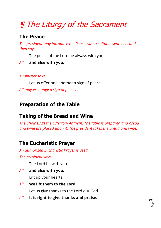# ¶ The Liturgy of the Sacrament

# **The Peace**

*The president may introduce the Peace with a suitable sentence, and then says*

The peace of the Lord be always with you

#### *All* **and also with you.**

#### *A minister says*

Let us offer one another a sign of peace. *All may exchange a sign of peace.*

# **Preparation of the Table**

# **Taking of the Bread and Wine**

*The Choir sings the Offertory Anthem. The table is prepared and bread and wine are placed upon it. The president takes the bread and wine.*

# **The Eucharistic Prayer**

*An authorized Eucharistic Prayer is used.*

*The president says*

The Lord be with you

- *All* **and also with you.** Lift up your hearts.
- *All* **We lift them to the Lord.** Let us give thanks to the Lord our God.
- *All* **It is right to give thanks and praise.**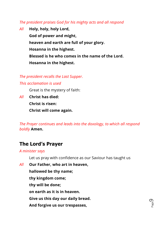#### *The president praises God for his mighty acts and all respond*

*All* **Holy, holy, holy Lord, God of power and might, heaven and earth are full of your glory. Hosanna in the highest. Blessed is he who comes in the name of the Lord. Hosanna in the highest.**

# *The president recalls the Last Supper.*

*This acclamation is used*

Great is the mystery of faith:

*All* **Christ has died: Christ is risen: Christ will come again.**

*The Prayer continues and leads into the doxology, to which all respond boldly* **Amen.**

## **The Lord's Prayer**

#### *A minister says*

Let us pray with confidence as our Saviour has taught us

*All* **Our Father, who art in heaven, hallowed be thy name; thy kingdom come; thy will be done; on earth as it is in heaven. Give us this day our daily bread. And forgive us our trespasses,**

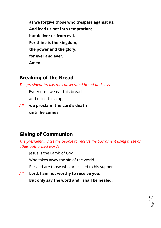**as we forgive those who trespass against us. And lead us not into temptation; but deliver us from evil. For thine is the kingdom, the power and the glory, for ever and ever. Amen.**

#### **Breaking of the Bread**

*The president breaks the consecrated bread and says*

Every time we eat this bread and drink this cup,

*All* **we proclaim the Lord's death until he comes.**

# **Giving of Communion**

*The president invites the people to receive the Sacrament using these or other authorized words*

Jesus is the Lamb of God

Who takes away the sin of the world.

Blessed are those who are called to his supper.

*All* **Lord, I am not worthy to receive you, But only say the word and I shall be healed.**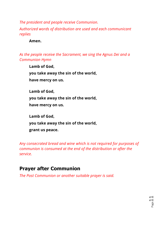*The president and people receive Communion.*

*Authorized words of distribution are used and each communicant replies*

#### **Amen.**

*As the people receive the Sacrament, we sing the Agnus Dei and a Communion Hymn*

 **Lamb of God, you take away the sin of the world, have mercy on us. Lamb of God, you take away the sin of the world, have mercy on us.**

**Lamb of God, you take away the sin of the world, grant us peace.**

*Any consecrated bread and wine which is not required for purposes of communion is consumed at the end of the distribution or after the service.*

#### **Prayer after Communion**

*The Post Communion or another suitable prayer is said.*